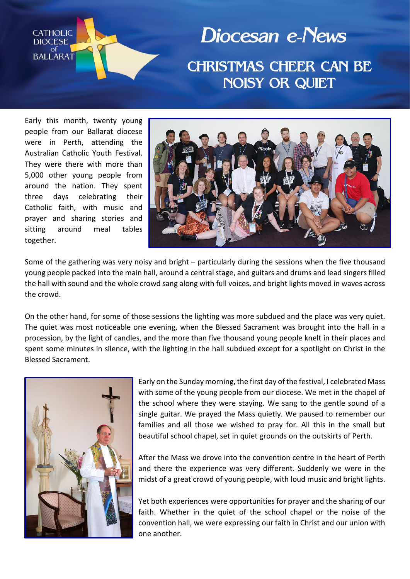

Diocesan e-News CHRISTMAS CHEER CAN BE NOISY OR QUIET

Early this month, twenty young people from our Ballarat diocese were in Perth, attending the Australian Catholic Youth Festival. They were there with more than 5,000 other young people from around the nation. They spent three days celebrating their Catholic faith, with music and prayer and sharing stories and sitting around meal tables together.



Some of the gathering was very noisy and bright – particularly during the sessions when the five thousand young people packed into the main hall, around a central stage, and guitars and drums and lead singers filled the hall with sound and the whole crowd sang along with full voices, and bright lights moved in waves across the crowd.

On the other hand, for some of those sessions the lighting was more subdued and the place was very quiet. The quiet was most noticeable one evening, when the Blessed Sacrament was brought into the hall in a procession, by the light of candles, and the more than five thousand young people knelt in their places and spent some minutes in silence, with the lighting in the hall subdued except for a spotlight on Christ in the Blessed Sacrament.



Early on the Sunday morning, the first day of the festival, I celebrated Mass with some of the young people from our diocese. We met in the chapel of the school where they were staying. We sang to the gentle sound of a single guitar. We prayed the Mass quietly. We paused to remember our families and all those we wished to pray for. All this in the small but beautiful school chapel, set in quiet grounds on the outskirts of Perth.

After the Mass we drove into the convention centre in the heart of Perth and there the experience was very different. Suddenly we were in the midst of a great crowd of young people, with loud music and bright lights.

Yet both experiences were opportunities for prayer and the sharing of our faith. Whether in the quiet of the school chapel or the noise of the convention hall, we were expressing our faith in Christ and our union with one another.